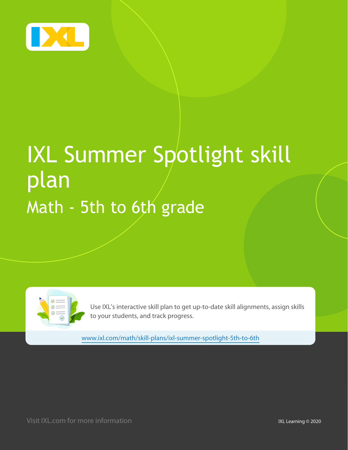

# IXL Summer Spotlight skill plan Math - 5th to 6th grade

Use IXL's interactive skill plan to get up-to-date skill alignments, assign skills to your students, and track progress.

[www.ixl.com/math/skill-plans/ixl-summer-spotlight-5th-to-6th](http://www.ixl.com/math/skill-plans/ixl-summer-spotlight-5th-to-6th)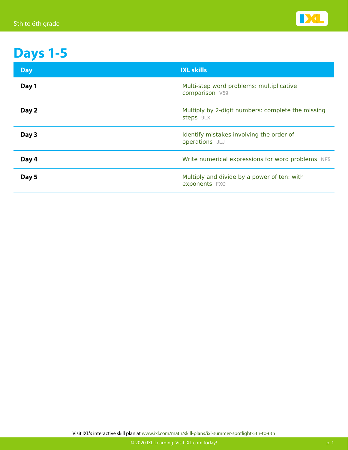

## **Days 1-5**

| <b>Day</b> | <b>IXL skills</b>                                              |
|------------|----------------------------------------------------------------|
| Day 1      | Multi-step word problems: multiplicative<br>comparison V59     |
| Day 2      | Multiply by 2-digit numbers: complete the missing<br>steps 9LX |
| Day 3      | Identify mistakes involving the order of<br>operations JLJ     |
| Day 4      | Write numerical expressions for word problems NF5              |
| Day 5      | Multiply and divide by a power of ten: with<br>exponents FXQ   |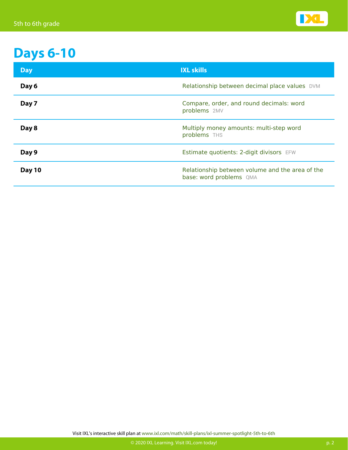

#### **Days 6-10**

| <b>Day</b>    | <b>IXL skills</b>                                                          |
|---------------|----------------------------------------------------------------------------|
| Day 6         | Relationship between decimal place values DVM                              |
| Day 7         | Compare, order, and round decimals: word<br>problems 2MV                   |
| Day 8         | Multiply money amounts: multi-step word<br>problems THS                    |
| Day 9         | Estimate quotients: 2-digit divisors EFW                                   |
| <b>Day 10</b> | Relationship between volume and the area of the<br>base: word problems QMA |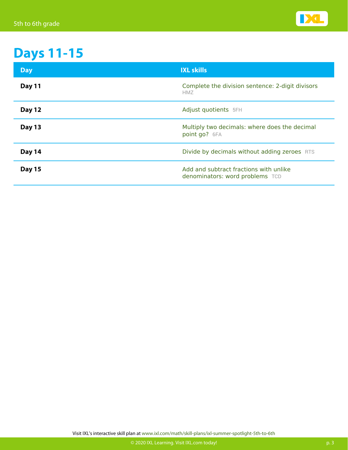

### **Days 11-15**

| <b>Day</b>    | <b>IXL skills</b>                                                         |
|---------------|---------------------------------------------------------------------------|
| Day 11        | Complete the division sentence: 2-digit divisors<br><b>HMZ</b>            |
| <b>Day 12</b> | Adjust quotients 5FH                                                      |
| Day 13        | Multiply two decimals: where does the decimal<br>point go? 6FA            |
| Day 14        | Divide by decimals without adding zeroes RTS                              |
| <b>Day 15</b> | Add and subtract fractions with unlike<br>denominators: word problems TCD |